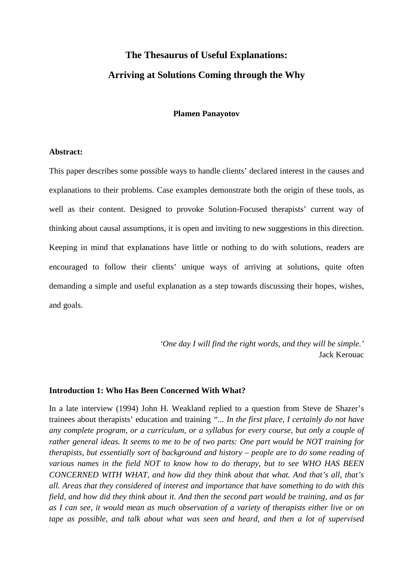# **The Thesaurus of Useful Explanations: Arriving at Solutions Coming through the Why**

#### **Plamen Panayotov**

#### **Abstract:**

This paper describes some possible ways to handle clients' declared interest in the causes and explanations to their problems. Case examples demonstrate both the origin of these tools, as well as their content. Designed to provoke Solution-Focused therapists' current way of thinking about causal assumptions, it is open and inviting to new suggestions in this direction. Keeping in mind that explanations have little or nothing to do with solutions, readers are encouraged to follow their clients' unique ways of arriving at solutions, quite often demanding a simple and useful explanation as a step towards discussing their hopes, wishes, and goals.

> *'One day I will find the right words, and they will be simple.'*  Jack Kerouac

#### **Introduction 1: Who Has Been Concerned With What?**

In a late interview (1994) John H. Weakland replied to a question from Steve de Shazer's trainees about therapists' education and training *"... In the first place, I certainly do not have any complete program, or a curriculum, or a syllabus for every course, but only a couple of rather general ideas. It seems to me to be of two parts: One part would be NOT training for therapists, but essentially sort of background and history – people are to do some reading of various names in the field NOT to know how to do therapy, but to see WHO HAS BEEN CONCERNED WITH WHAT, and how did they think about that what. And that's all, that's all. Areas that they considered of interest and importance that have something to do with this field, and how did they think about it. And then the second part would be training, and as far as I can see, it would mean as much observation of a variety of therapists either live or on tape as possible, and talk about what was seen and heard, and then a lot of supervised*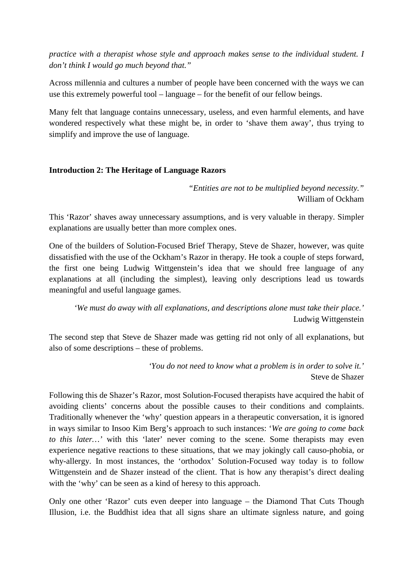*practice with a therapist whose style and approach makes sense to the individual student. I don't think I would go much beyond that."* 

Across millennia and cultures a number of people have been concerned with the ways we can use this extremely powerful tool – language – for the benefit of our fellow beings.

Many felt that language contains unnecessary, useless, and even harmful elements, and have wondered respectively what these might be, in order to 'shave them away', thus trying to simplify and improve the use of language.

## **Introduction 2: The Heritage of Language Razors**

*"Entities are not to be multiplied beyond necessity."*  William of Ockham

This 'Razor' shaves away unnecessary assumptions, and is very valuable in therapy. Simpler explanations are usually better than more complex ones.

One of the builders of Solution-Focused Brief Therapy, Steve de Shazer, however, was quite dissatisfied with the use of the Ockham's Razor in therapy. He took a couple of steps forward, the first one being Ludwig Wittgenstein's idea that we should free language of any explanations at all (including the simplest), leaving only descriptions lead us towards meaningful and useful language games.

*'We must do away with all explanations, and descriptions alone must take their place.'*  Ludwig Wittgenstein

The second step that Steve de Shazer made was getting rid not only of all explanations, but also of some descriptions – these of problems.

> *'You do not need to know what a problem is in order to solve it.'*  Steve de Shazer

Following this de Shazer's Razor, most Solution-Focused therapists have acquired the habit of avoiding clients' concerns about the possible causes to their conditions and complaints. Traditionally whenever the 'why' question appears in a therapeutic conversation, it is ignored in ways similar to Insoo Kim Berg's approach to such instances: '*We are going to come back to this later...*' with this 'later' never coming to the scene. Some therapists may even experience negative reactions to these situations, that we may jokingly call causo-phobia, or why-allergy. In most instances, the 'orthodox' Solution-Focused way today is to follow Wittgenstein and de Shazer instead of the client. That is how any therapist's direct dealing with the 'why' can be seen as a kind of heresy to this approach.

Only one other 'Razor' cuts even deeper into language – the Diamond That Cuts Though Illusion, i.e. the Buddhist idea that all signs share an ultimate signless nature, and going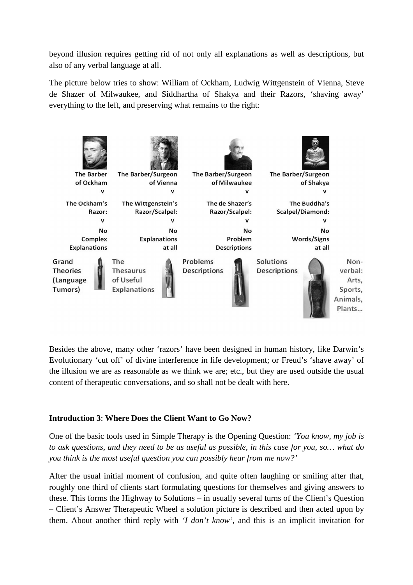beyond illusion requires getting rid of not only all explanations as well as descriptions, but also of any verbal language at all.

The picture below tries to show: William of Ockham, Ludwig Wittgenstein of Vienna, Steve de Shazer of Milwaukee, and Siddhartha of Shakya and their Razors, 'shaving away' everything to the left, and preserving what remains to the right:



Besides the above, many other 'razors' have been designed in human history, like Darwin's Evolutionary 'cut off' of divine interference in life development; or Freud's 'shave away' of the illusion we are as reasonable as we think we are; etc., but they are used outside the usual content of therapeutic conversations, and so shall not be dealt with here.

# **Introduction 3**: **Where Does the Client Want to Go Now?**

One of the basic tools used in Simple Therapy is the Opening Question: *'You know, my job is to ask questions, and they need to be as useful as possible, in this case for you, so… what do you think is the most useful question you can possibly hear from me now?'* 

After the usual initial moment of confusion, and quite often laughing or smiling after that, roughly one third of clients start formulating questions for themselves and giving answers to these. This forms the Highway to Solutions – in usually several turns of the Client's Question – Client's Answer Therapeutic Wheel a solution picture is described and then acted upon by them. About another third reply with *'I don't know'*, and this is an implicit invitation for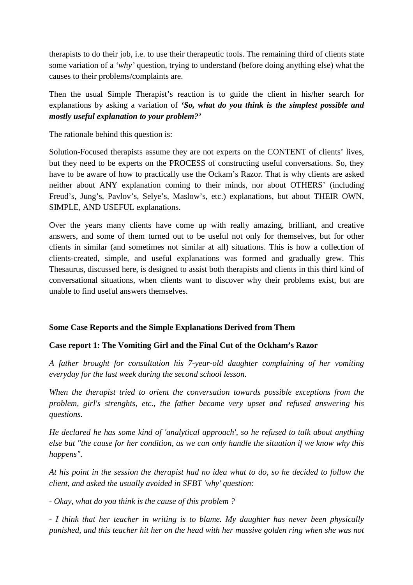therapists to do their job, i.e. to use their therapeutic tools. The remaining third of clients state some variation of a *'why'* question, trying to understand (before doing anything else) what the causes to their problems/complaints are.

Then the usual Simple Therapist's reaction is to guide the client in his/her search for explanations by asking a variation of *'So, what do you think is the simplest possible and mostly useful explanation to your problem?'* 

The rationale behind this question is:

Solution-Focused therapists assume they are not experts on the CONTENT of clients' lives, but they need to be experts on the PROCESS of constructing useful conversations. So, they have to be aware of how to practically use the Ockam's Razor. That is why clients are asked neither about ANY explanation coming to their minds, nor about OTHERS' (including Freud's, Jung's, Pavlov's, Selye's, Maslow's, etc.) explanations, but about THEIR OWN, SIMPLE, AND USEFUL explanations.

Over the years many clients have come up with really amazing, brilliant, and creative answers, and some of them turned out to be useful not only for themselves, but for other clients in similar (and sometimes not similar at all) situations. This is how a collection of clients-created, simple, and useful explanations was formed and gradually grew. This Thesaurus, discussed here, is designed to assist both therapists and clients in this third kind of conversational situations, when clients want to discover why their problems exist, but are unable to find useful answers themselves.

# **Some Case Reports and the Simple Explanations Derived from Them**

# **Case report 1: The Vomiting Girl and the Final Cut of the Ockham's Razor**

*A father brought for consultation his 7-year-old daughter complaining of her vomiting everyday for the last week during the second school lesson.* 

*When the therapist tried to orient the conversation towards possible exceptions from the problem, girl's strenghts, etc., the father became very upset and refused answering his questions.* 

*He declared he has some kind of 'analytical approach', so he refused to talk about anything else but "the cause for her condition, as we can only handle the situation if we know why this happens".* 

*At his point in the session the therapist had no idea what to do, so he decided to follow the client, and asked the usually avoided in SFBT 'why' question:* 

*- Okay, what do you think is the cause of this problem ?* 

*- I think that her teacher in writing is to blame. My daughter has never been physically punished, and this teacher hit her on the head with her massive golden ring when she was not*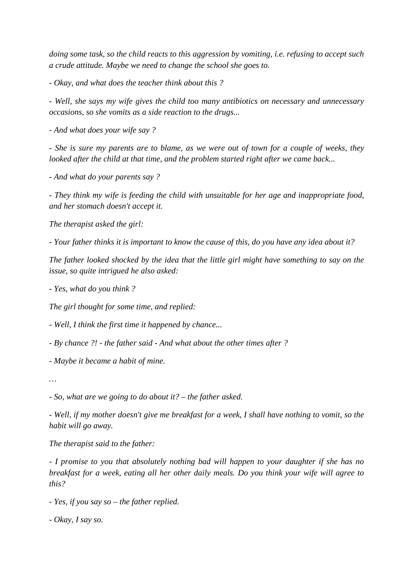*doing some task, so the child reacts to this aggression by vomiting, i.e. refusing to accept such a crude attitude. Maybe we need to change the school she goes to.* 

*- Okay, and what does the teacher think about this ?* 

*- Well, she says my wife gives the child too many antibiotics on necessary and unnecessary occasions, so she vomits as a side reaction to the drugs...* 

*- And what does your wife say ?* 

*- She is sure my parents are to blame, as we were out of town for a couple of weeks, they looked after the child at that time, and the problem started right after we came back...* 

*- And what do your parents say ?* 

*- They think my wife is feeding the child with unsuitable for her age and inappropriate food, and her stomach doesn't accept it.* 

*The therapist asked the girl:* 

*- Your father thinks it is important to know the cause of this, do you have any idea about it?* 

*The father looked shocked by the idea that the little girl might have something to say on the issue, so quite intrigued he also asked:* 

*- Yes, what do you think ?* 

*The girl thought for some time, and replied:* 

*- Well, I think the first time it happened by chance...* 

*- By chance ?! - the father said - And what about the other times after ?* 

*- Maybe it became a habit of mine.* 

*…* 

*- So, what are we going to do about it? – the father asked.* 

*- Well, if my mother doesn't give me breakfast for a week, I shall have nothing to vomit, so the habit will go away.* 

*The therapist said to the father:* 

*- I promise to you that absolutely nothing bad will happen to your daughter if she has no breakfast for a week, eating all her other daily meals. Do you think your wife will agree to this?* 

*- Yes, if you say so – the father replied.* 

*- Okay, I say so.*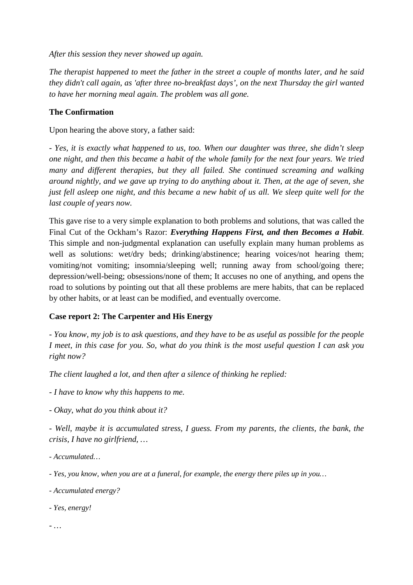*After this session they never showed up again.* 

*The therapist happened to meet the father in the street a couple of months later, and he said they didn't call again, as 'after three no-breakfast days', on the next Thursday the girl wanted to have her morning meal again. The problem was all gone.* 

## **The Confirmation**

Upon hearing the above story, a father said:

*- Yes, it is exactly what happened to us, too. When our daughter was three, she didn't sleep one night, and then this became a habit of the whole family for the next four years. We tried many and different therapies, but they all failed. She continued screaming and walking around nightly, and we gave up trying to do anything about it. Then, at the age of seven, she just fell asleep one night, and this became a new habit of us all. We sleep quite well for the last couple of years now.* 

This gave rise to a very simple explanation to both problems and solutions, that was called the Final Cut of the Ockham's Razor: *Everything Happens First, and then Becomes a Habit*. This simple and non-judgmental explanation can usefully explain many human problems as well as solutions: wet/dry beds; drinking/abstinence; hearing voices/not hearing them; vomiting/not vomiting; insomnia/sleeping well; running away from school/going there; depression/well-being; obsessions/none of them; It accuses no one of anything, and opens the road to solutions by pointing out that all these problems are mere habits, that can be replaced by other habits, or at least can be modified, and eventually overcome.

## **Case report 2: The Carpenter and His Energy**

*- You know, my job is to ask questions, and they have to be as useful as possible for the people I meet, in this case for you. So, what do you think is the most useful question I can ask you right now?* 

*The client laughed a lot, and then after a silence of thinking he replied:* 

*- I have to know why this happens to me.* 

*- Okay, what do you think about it?* 

*- Well, maybe it is accumulated stress, I guess. From my parents, the clients, the bank, the crisis, I have no girlfriend, …* 

*- Accumulated…* 

*- Yes, you know, when you are at a funeral, for example, the energy there piles up in you…* 

- *Accumulated energy?*
- *Yes, energy!*

*- …*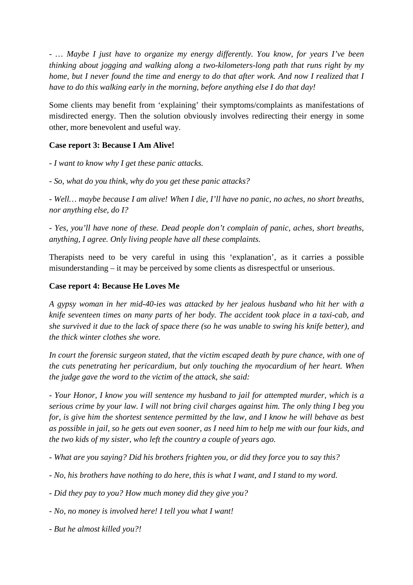*- … Maybe I just have to organize my energy differently. You know, for years I've been thinking about jogging and walking along a two-kilometers-long path that runs right by my home, but I never found the time and energy to do that after work. And now I realized that I have to do this walking early in the morning, before anything else I do that day!* 

Some clients may benefit from 'explaining' their symptoms/complaints as manifestations of misdirected energy. Then the solution obviously involves redirecting their energy in some other, more benevolent and useful way.

## **Case report 3: Because I Am Alive!**

*- I want to know why I get these panic attacks.* 

*- So, what do you think, why do you get these panic attacks?* 

*- Well… maybe because I am alive! When I die, I'll have no panic, no aches, no short breaths, nor anything else, do I?* 

*- Yes, you'll have none of these. Dead people don't complain of panic, aches, short breaths, anything, I agree. Only living people have all these complaints.* 

Therapists need to be very careful in using this 'explanation', as it carries a possible misunderstanding – it may be perceived by some clients as disrespectful or unserious.

## **Case report 4: Because He Loves Me**

*A gypsy woman in her mid-40-ies was attacked by her jealous husband who hit her with a knife seventeen times on many parts of her body. The accident took place in a taxi-cab, and she survived it due to the lack of space there (so he was unable to swing his knife better), and the thick winter clothes she wore.* 

*In court the forensic surgeon stated, that the victim escaped death by pure chance, with one of the cuts penetrating her pericardium, but only touching the myocardium of her heart. When the judge gave the word to the victim of the attack, she said:* 

*- Your Honor, I know you will sentence my husband to jail for attempted murder, which is a serious crime by your law. I will not bring civil charges against him. The only thing I beg you for, is give him the shortest sentence permitted by the law, and I know he will behave as best as possible in jail, so he gets out even sooner, as I need him to help me with our four kids, and the two kids of my sister, who left the country a couple of years ago.* 

*- What are you saying? Did his brothers frighten you, or did they force you to say this?* 

- *No, his brothers have nothing to do here, this is what I want, and I stand to my word.*
- *Did they pay to you? How much money did they give you?*
- *No, no money is involved here! I tell you what I want!*
- *But he almost killed you?!*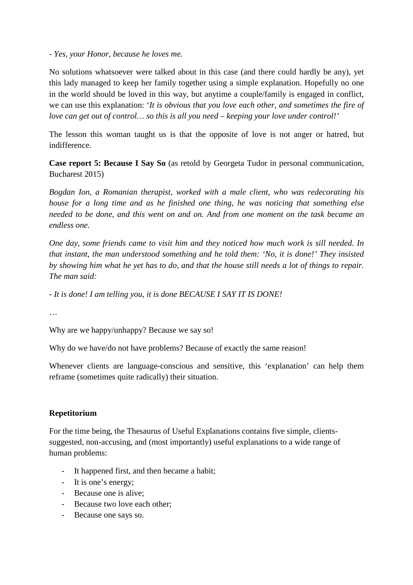*- Yes, your Honor, because he loves me.* 

No solutions whatsoever were talked about in this case (and there could hardly be any), yet this lady managed to keep her family together using a simple explanation. Hopefully no one in the world should be loved in this way, but anytime a couple/family is engaged in conflict, we can use this explanation: '*It is obvious that you love each other, and sometimes the fire of love can get out of control… so this is all you need – keeping your love under control!'*

The lesson this woman taught us is that the opposite of love is not anger or hatred, but indifference.

**Case report 5: Because I Say So** (as retold by Georgeta Tudor in personal communication, Bucharest 2015)

*Bogdan Ion, a Romanian therapist, worked with a male client, who was redecorating his house for a long time and as he finished one thing, he was noticing that something else needed to be done, and this went on and on. And from one moment on the task became an endless one.* 

*One day, some friends came to visit him and they noticed how much work is sill needed. In that instant, the man understood something and he told them: 'No, it is done!' They insisted by showing him what he yet has to do, and that the house still needs a lot of things to repair. The man said:* 

*- It is done! I am telling you, it is done BECAUSE I SAY IT IS DONE!* 

…

Why are we happy/unhappy? Because we say so!

Why do we have/do not have problems? Because of exactly the same reason!

Whenever clients are language-conscious and sensitive, this 'explanation' can help them reframe (sometimes quite radically) their situation.

# **Repetitorium**

For the time being, the Thesaurus of Useful Explanations contains five simple, clientssuggested, non-accusing, and (most importantly) useful explanations to a wide range of human problems:

- It happened first, and then became a habit;
- It is one's energy;
- Because one is alive;
- Because two love each other;
- Because one says so.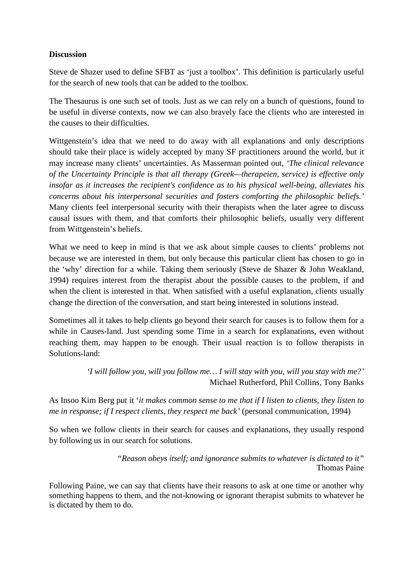## **Discussion**

Steve de Shazer used to define SFBT as 'just a toolbox'. This definition is particularly useful for the search of new tools that can be added to the toolbox.

The Thesaurus is one such set of tools. Just as we can rely on a bunch of questions, found to be useful in diverse contexts, now we can also bravely face the clients who are interested in the causes to their difficulties.

Wittgenstein's idea that we need to do away with all explanations and only descriptions should take their place is widely accepted by many SF practitioners around the world, but it may increase many clients' uncertainties. As Masserman pointed out, *'The clinical relevance of the Uncertainty Principle is that all therapy (Greek—therapeien, service) is effective only insofar as it increases the recipient's confidence as to his physical well-being, alleviates his concerns about his interpersonal securities and fosters comforting the philosophic beliefs.'*  Many clients feel interpersonal security with their therapists when the later agree to discuss causal issues with them, and that comforts their philosophic beliefs, usually very different from Wittgenstein's beliefs.

What we need to keep in mind is that we ask about simple causes to clients' problems not because we are interested in them, but only because this particular client has chosen to go in the 'why' direction for a while. Taking them seriously (Steve de Shazer & John Weakland, 1994) requires interest from the therapist about the possible causes to the problem, if and when the client is interested in that. When satisfied with a useful explanation, clients usually change the direction of the conversation, and start being interested in solutions instead.

Sometimes all it takes to help clients go beyond their search for causes is to follow them for a while in Causes-land. Just spending some Time in a search for explanations, even without reaching them, may happen to be enough. Their usual reaction is to follow therapists in Solutions-land:

> *'I will follow you, will you follow me… I will stay with you, will you stay with me?'*  Michael Rutherford, Phil Collins, Tony Banks

As Insoo Kim Berg put it '*it makes common sense to me that if I listen to clients, they listen to me in response; if I respect clients, they respect me back'* (personal communication, 1994)

So when we follow clients in their search for causes and explanations, they usually respond by following us in our search for solutions.

> *"Reason obeys itself; and ignorance submits to whatever is dictated to it"*  Thomas Paine

Following Paine, we can say that clients have their reasons to ask at one time or another why something happens to them, and the not-knowing or ignorant therapist submits to whatever he is dictated by them to do.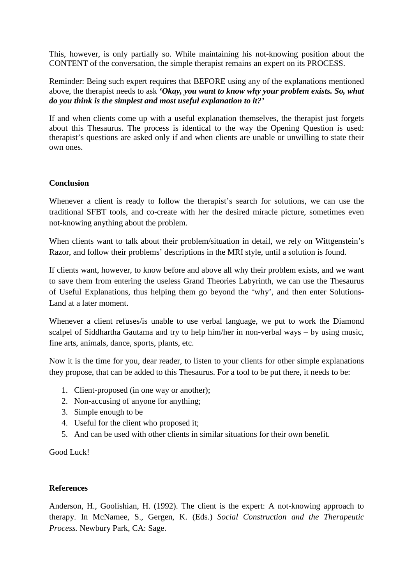This, however, is only partially so. While maintaining his not-knowing position about the CONTENT of the conversation, the simple therapist remains an expert on its PROCESS.

Reminder: Being such expert requires that BEFORE using any of the explanations mentioned above, the therapist needs to ask *'Okay, you want to know why your problem exists. So, what do you think is the simplest and most useful explanation to it?'* 

If and when clients come up with a useful explanation themselves, the therapist just forgets about this Thesaurus. The process is identical to the way the Opening Question is used: therapist's questions are asked only if and when clients are unable or unwilling to state their own ones.

#### **Conclusion**

Whenever a client is ready to follow the therapist's search for solutions, we can use the traditional SFBT tools, and co-create with her the desired miracle picture, sometimes even not-knowing anything about the problem.

When clients want to talk about their problem/situation in detail, we rely on Wittgenstein's Razor, and follow their problems' descriptions in the MRI style, until a solution is found.

If clients want, however, to know before and above all why their problem exists, and we want to save them from entering the useless Grand Theories Labyrinth, we can use the Thesaurus of Useful Explanations, thus helping them go beyond the 'why', and then enter Solutions-Land at a later moment.

Whenever a client refuses/is unable to use verbal language, we put to work the Diamond scalpel of Siddhartha Gautama and try to help him/her in non-verbal ways – by using music, fine arts, animals, dance, sports, plants, etc.

Now it is the time for you, dear reader, to listen to your clients for other simple explanations they propose, that can be added to this Thesaurus. For a tool to be put there, it needs to be:

- 1. Client-proposed (in one way or another);
- 2. Non-accusing of anyone for anything;
- 3. Simple enough to be
- 4. Useful for the client who proposed it;
- 5. And can be used with other clients in similar situations for their own benefit.

Good Luck!

## **References**

Anderson, H., Goolishian, H. (1992). The client is the expert: A not-knowing approach to therapy. In McNamee, S., Gergen, K. (Eds.) *Social Construction and the Therapeutic Process.* Newbury Park, CA: Sage.